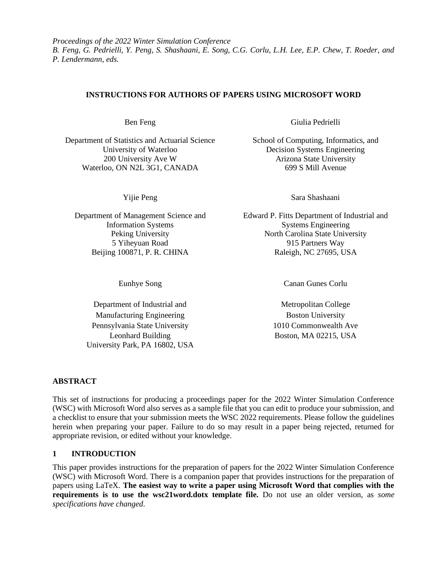*Proceedings of the 2022 Winter Simulation Conference B. Feng, G. Pedrielli, Y. Peng, S. Shashaani, E. Song, C.G. Corlu, L.H. Lee, E.P. Chew, T. Roeder, and P. Lendermann, eds.*

# **INSTRUCTIONS FOR AUTHORS OF PAPERS USING MICROSOFT WORD**

Department of Statistics and Actuarial Science School of Computing, Informatics, and University of Waterloo Decision Systems Engineering 200 University Ave W Arizona State University Waterloo, ON N2L 3G1, CANADA 699 S Mill Avenue

5 Yiheyuan Road Beijing 100871, P. R. CHINA

Department of Industrial and Metropolitan College Manufacturing Engineering **Boston** Boston University Pennsylvania State University 1010 Commonwealth Ave Leonhard Building University Park, PA 16802, USA

Ben Feng Giulia Pedrielli

Yijie Peng Sara Shashaani

Department of Management Science and Edward P. Fitts Department of Industrial and Information Systems Systems Engineering Peking University North Carolina State University 915 Partners Way Raleigh, NC 27695, USA

Eunhye Song Canan Gunes Corlu

Boston, MA 02215, USA

### **ABSTRACT**

This set of instructions for producing a proceedings paper for the 2022 Winter Simulation Conference (WSC) with Microsoft Word also serves as a sample file that you can edit to produce your submission, and a checklist to ensure that your submission meets the WSC 2022 requirements. Please follow the guidelines herein when preparing your paper. Failure to do so may result in a paper being rejected, returned for appropriate revision, or edited without your knowledge.

### **1 INTRODUCTION**

This paper provides instructions for the preparation of papers for the 2022 Winter Simulation Conference (WSC) with Microsoft Word. There is a companion paper that provides instructions for the preparation of papers using LaTeX. **The easiest way to write a paper using Microsoft Word that complies with the requirements is to use the wsc21word.dotx template file.** Do not use an older version, as *some specifications have changed*.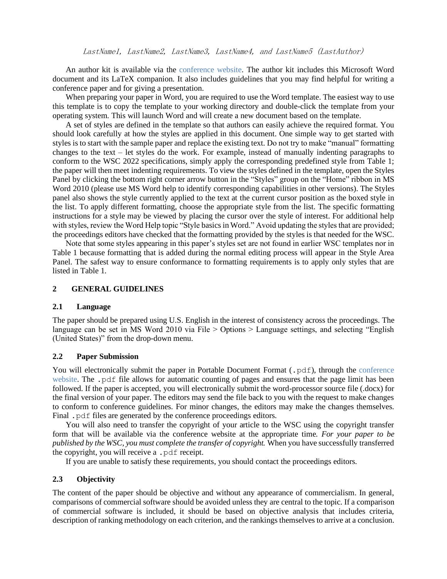An author kit is available via the [conference website.](http://www.wintersim.org/) The author kit includes this Microsoft Word document and its LaTeX companion. It also includes guidelines that you may find helpful for writing a conference paper and for giving a presentation.

When preparing your paper in Word, you are required to use the Word template. The easiest way to use this template is to copy the template to your working directory and double-click the template from your operating system. This will launch Word and will create a new document based on the template.

A set of styles are defined in the template so that authors can easily achieve the required format. You should look carefully at how the styles are applied in this document. One simple way to get started with styles is to start with the sample paper and replace the existing text. Do not try to make "manual" formatting changes to the text – let styles do the work. For example, instead of manually indenting paragraphs to conform to the WSC 2022 specifications, simply apply the corresponding predefined style from Table 1; the paper will then meet indenting requirements. To view the styles defined in the template, open the Styles Panel by clicking the bottom right corner arrow button in the "Styles" group on the "Home" ribbon in MS Word 2010 (please use MS Word help to identify corresponding capabilities in other versions). The Styles panel also shows the style currently applied to the text at the current cursor position as the boxed style in the list. To apply different formatting, choose the appropriate style from the list. The specific formatting instructions for a style may be viewed by placing the cursor over the style of interest. For additional help with styles, review the Word Help topic "Style basics in Word." Avoid updating the styles that are provided; the proceedings editors have checked that the formatting provided by the styles is that needed for the WSC.

Note that some styles appearing in this paper's styles set are not found in earlier WSC templates nor in Table 1 because formatting that is added during the normal editing process will appear in the Style Area Panel. The safest way to ensure conformance to formatting requirements is to apply only styles that are listed in Table 1.

# **2 GENERAL GUIDELINES**

#### **2.1 Language**

The paper should be prepared using U.S. English in the interest of consistency across the proceedings. The language can be set in MS Word 2010 via File > Options > Language settings, and selecting "English (United States)" from the drop-down menu.

#### **2.2 Paper Submission**

You will electronically submit [the](http://www.wintersim.org/) paper in Portable Document Format (. pdf), through the conference [website.](http://www.wintersim.org/) The .pdf file allows for automatic counting of pages and ensures that the page limit has been followed. If the paper is accepted, you will electronically submit the word-processor source file (.docx) for the final version of your paper. The editors may send the file back to you with the request to make changes to conform to conference guidelines. For minor changes, the editors may make the changes themselves. Final . pdf files are generated by the conference proceedings editors.

You will also need to transfer the copyright of your article to the WSC using the copyright transfer form that will be available via the conference website at the appropriate time. *For your paper to be published by the WSC, you must complete the transfer of copyright.* When you have successfully transferred the copyright, you will receive a .pdf receipt.

If you are unable to satisfy these requirements, you should contact the proceedings editors.

### **2.3 Objectivity**

The content of the paper should be objective and without any appearance of commercialism. In general, comparisons of commercial software should be avoided unless they are central to the topic. If a comparison of commercial software is included, it should be based on objective analysis that includes criteria, description of ranking methodology on each criterion, and the rankings themselves to arrive at a conclusion.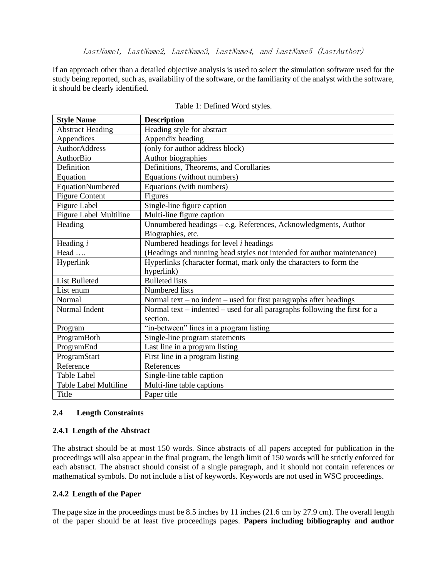If an approach other than a detailed objective analysis is used to select the simulation software used for the study being reported, such as, availability of the software, or the familiarity of the analyst with the software, it should be clearly identified.

| <b>Style Name</b>             | <b>Description</b>                                                         |
|-------------------------------|----------------------------------------------------------------------------|
| <b>Abstract Heading</b>       | Heading style for abstract                                                 |
| Appendices                    | Appendix heading                                                           |
| <b>AuthorAddress</b>          | (only for author address block)                                            |
| AuthorBio                     | Author biographies                                                         |
| Definition                    | Definitions, Theorems, and Corollaries                                     |
| Equation                      | Equations (without numbers)                                                |
| EquationNumbered              | Equations (with numbers)                                                   |
| <b>Figure Content</b>         | Figures                                                                    |
| <b>Figure Label</b>           | Single-line figure caption                                                 |
| <b>Figure Label Multiline</b> | Multi-line figure caption                                                  |
| Heading                       | Unnumbered headings - e.g. References, Acknowledgments, Author             |
|                               | Biographies, etc.                                                          |
| Heading $i$                   | Numbered headings for level $i$ headings                                   |
| Head                          | (Headings and running head styles not intended for author maintenance)     |
| Hyperlink                     | Hyperlinks (character format, mark only the characters to form the         |
|                               | hyperlink)                                                                 |
| <b>List Bulleted</b>          | <b>Bulleted</b> lists                                                      |
| List enum                     | Numbered lists                                                             |
| Normal                        | Normal text – no indent – used for first paragraphs after headings         |
| Normal Indent                 | Normal text – indented – used for all paragraphs following the first for a |
|                               | section.                                                                   |
| Program                       | "in-between" lines in a program listing                                    |
| ProgramBoth                   | Single-line program statements                                             |
| ProgramEnd                    | Last line in a program listing                                             |
| ProgramStart                  | First line in a program listing                                            |
| Reference                     | References                                                                 |
| <b>Table Label</b>            | Single-line table caption                                                  |
| Table Label Multiline         | Multi-line table captions                                                  |
| Title                         | Paper title                                                                |

| Table 1: Defined Word styles. |  |  |
|-------------------------------|--|--|
|-------------------------------|--|--|

# **2.4 Length Constraints**

# **2.4.1 Length of the Abstract**

The abstract should be at most 150 words. Since abstracts of all papers accepted for publication in the proceedings will also appear in the final program, the length limit of 150 words will be strictly enforced for each abstract. The abstract should consist of a single paragraph, and it should not contain references or mathematical symbols. Do not include a list of keywords. Keywords are not used in WSC proceedings.

# **2.4.2 Length of the Paper**

The page size in the proceedings must be 8.5 inches by 11 inches (21.6 cm by 27.9 cm). The overall length of the paper should be at least five proceedings pages. **Papers including bibliography and author**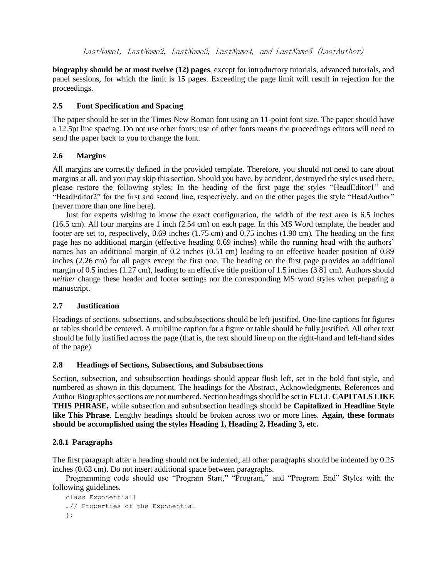**biography should be at most twelve (12) pages**, except for introductory tutorials, advanced tutorials, and panel sessions, for which the limit is 15 pages. Exceeding the page limit will result in rejection for the proceedings.

# **2.5 Font Specification and Spacing**

The paper should be set in the Times New Roman font using an 11-point font size. The paper should have a 12.5pt line spacing. Do not use other fonts; use of other fonts means the proceedings editors will need to send the paper back to you to change the font.

# **2.6 Margins**

All margins are correctly defined in the provided template. Therefore, you should not need to care about margins at all, and you may skip this section. Should you have, by accident, destroyed the styles used there, please restore the following styles: In the heading of the first page the styles "HeadEditor1" and "HeadEditor2" for the first and second line, respectively, and on the other pages the style "HeadAuthor" (never more than one line here).

Just for experts wishing to know the exact configuration, the width of the text area is 6.5 inches (16.5 cm). All four margins are 1 inch (2.54 cm) on each page. In this MS Word template, the header and footer are set to, respectively, 0.69 inches (1.75 cm) and 0.75 inches (1.90 cm). The heading on the first page has no additional margin (effective heading 0.69 inches) while the running head with the authors' names has an additional margin of 0.2 inches (0.51 cm) leading to an effective header position of 0.89 inches (2.26 cm) for all pages except the first one. The heading on the first page provides an additional margin of 0.5 inches (1.27 cm), leading to an effective title position of 1.5 inches (3.81 cm). Authors should *neither* change these header and footer settings nor the corresponding MS word styles when preparing a manuscript.

# **2.7 Justification**

Headings of sections, subsections, and subsubsections should be left-justified. One-line captions for figures or tables should be centered. A multiline caption for a figure or table should be fully justified. All other text should be fully justified across the page (that is, the text should line up on the right-hand and left-hand sides of the page).

# **2.8 Headings of Sections, Subsections, and Subsubsections**

Section, subsection, and subsubsection headings should appear flush left, set in the bold font style, and numbered as shown in this document. The headings for the Abstract, Acknowledgments, References and Author Biographies sections are not numbered. Section headings should be set in **FULL CAPITALS LIKE THIS PHRASE,** while subsection and subsubsection headings should be **Capitalized in Headline Style like This Phrase**. Lengthy headings should be broken across two or more lines. **Again, these formats should be accomplished using the styles Heading 1, Heading 2, Heading 3, etc.**

# **2.8.1 Paragraphs**

The first paragraph after a heading should not be indented; all other paragraphs should be indented by 0.25 inches (0.63 cm). Do not insert additional space between paragraphs.

Programming code should use "Program Start," "Program," and "Program End" Styles with the following guidelines.

```
class Exponential{
…// Properties of the Exponential
};
```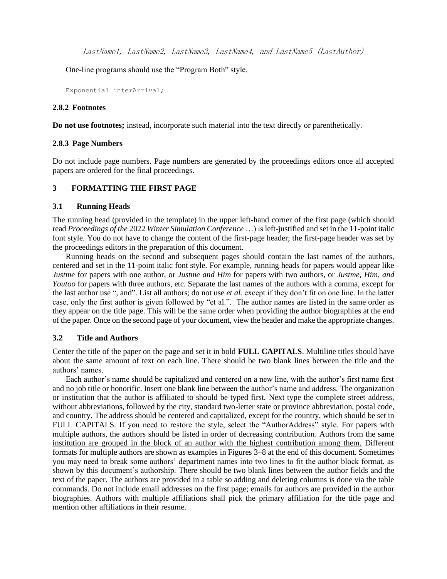One-line programs should use the "Program Both" style.

Exponential interArrival;

#### **2.8.2 Footnotes**

**Do not use footnotes;** instead, incorporate such material into the text directly or parenthetically.

### **2.8.3 Page Numbers**

Do not include page numbers. Page numbers are generated by the proceedings editors once all accepted papers are ordered for the final proceedings.

### **3 FORMATTING THE FIRST PAGE**

#### **3.1 Running Heads**

The running head (provided in the template) in the upper left-hand corner of the first page (which should read *Proceedings of the* 2022 *Winter Simulation Conference* …) is left-justified and set in the 11-point italic font style. You do not have to change the content of the first-page header; the first-page header was set by the proceedings editors in the preparation of this document.

Running heads on the second and subsequent pages should contain the last names of the authors, centered and set in the 11-point italic font style. For example, running heads for papers would appear like *Justme* for papers with one author, or *Justme and Him* for papers with two authors, or *Justme, Him, and Youtoo* for papers with three authors, etc. Separate the last names of the authors with a comma, except for the last author use ", and". List all authors; do not use *et al.* except if they don't fit on one line. In the latter case, only the first author is given followed by "et al.". The author names are listed in the same order as they appear on the title page. This will be the same order when providing the author biographies at the end of the paper. Once on the second page of your document, view the header and make the appropriate changes.

### **3.2 Title and Authors**

Center the title of the paper on the page and set it in bold **FULL CAPITALS**. Multiline titles should have about the same amount of text on each line. There should be two blank lines between the title and the authors' names.

Each author's name should be capitalized and centered on a new line, with the author's first name first and no job title or honorific. Insert one blank line between the author's name and address. The organization or institution that the author is affiliated to should be typed first. Next type the complete street address, without abbreviations, followed by the city, standard two-letter state or province abbreviation, postal code, and country. The address should be centered and capitalized, except for the country, which should be set in FULL CAPITALS. If you need to restore the style, select the "AuthorAddress" style. For papers with multiple authors, the authors should be listed in order of decreasing contribution. Authors from the same institution are grouped in the block of an author with the highest contribution among them. Different formats for multiple authors are shown as examples in Figures 3–8 at the end of this document. Sometimes you may need to break some authors' department names into two lines to fit the author block format, as shown by this document's authorship. There should be two blank lines between the author fields and the text of the paper. The authors are provided in a table so adding and deleting columns is done via the table commands. Do not include email addresses on the first page; emails for authors are provided in the author biographies. Authors with multiple affiliations shall pick the primary affiliation for the title page and mention other affiliations in their resume.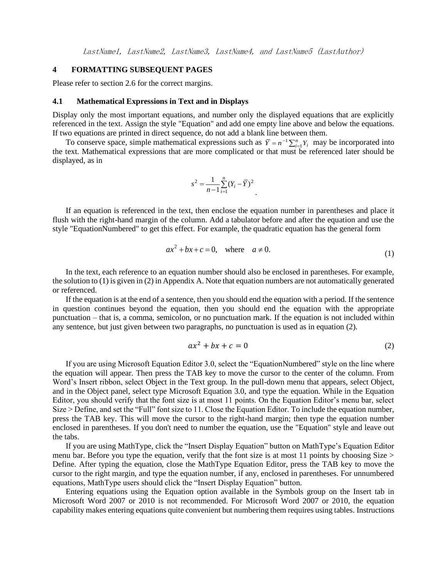### **4 FORMATTING SUBSEQUENT PAGES**

Please refer to section 2.6 for the correct margins.

#### **4.1 Mathematical Expressions in Text and in Displays**

Display only the most important equations, and number only the displayed equations that are explicitly referenced in the text. Assign the style "Equation" and add one empty line above and below the equations. If two equations are printed in direct sequence, do not add a blank line between them.

To conserve space, simple mathematical expressions such as  $\overline{Y} = n^{-1} \sum_{i=1}^{n} Y_i$  may be incorporated into the text. Mathematical expressions that are more complicated or that must be referenced later should be displayed, as in

$$
s^{2} = \frac{1}{n-1} \sum_{i=1}^{n} (Y_{i} - \overline{Y})^{2}
$$

If an equation is referenced in the text, then enclose the equation number in parentheses and place it flush with the right-hand margin of the column. Add a tabulator before and after the equation and use the style "EquationNumbered" to get this effect. For example, the quadratic equation has the general form

$$
ax^2 + bx + c = 0, \quad \text{where} \quad a \neq 0. \tag{1}
$$

.

In the text, each reference to an equation number should also be enclosed in parentheses. For example, the solution to (1) is given in (2) in Appendix A. Note that equation numbers are not automatically generated or referenced.

If the equation is at the end of a sentence, then you should end the equation with a period. If the sentence in question continues beyond the equation, then you should end the equation with the appropriate punctuation – that is, a comma, semicolon, or no punctuation mark. If the equation is not included within any sentence, but just given between two paragraphs, no punctuation is used as in equation (2).

$$
ax^2 + bx + c = 0 \tag{2}
$$

If you are using Microsoft Equation Editor 3.0, select the "EquationNumbered" style on the line where the equation will appear. Then press the TAB key to move the cursor to the center of the column. From Word's Insert ribbon, select Object in the Text group. In the pull-down menu that appears, select Object, and in the Object panel, select type Microsoft Equation 3.0, and type the equation. While in the Equation Editor, you should verify that the font size is at most 11 points. On the Equation Editor's menu bar, select Size > Define, and set the "Full" font size to 11. Close the Equation Editor. To include the equation number, press the TAB key. This will move the cursor to the right-hand margin; then type the equation number enclosed in parentheses. If you don't need to number the equation, use the "Equation" style and leave out the tabs.

If you are using MathType, click the "Insert Display Equation" button on MathType's Equation Editor menu bar. Before you type the equation, verify that the font size is at most 11 points by choosing Size  $>$ Define. After typing the equation, close the MathType Equation Editor, press the TAB key to move the cursor to the right margin, and type the equation number, if any, enclosed in parentheses. For unnumbered equations, MathType users should click the "Insert Display Equation" button.

Entering equations using the Equation option available in the Symbols group on the Insert tab in Microsoft Word 2007 or 2010 is not recommended. For Microsoft Word 2007 or 2010, the equation capability makes entering equations quite convenient but numbering them requires using tables. Instructions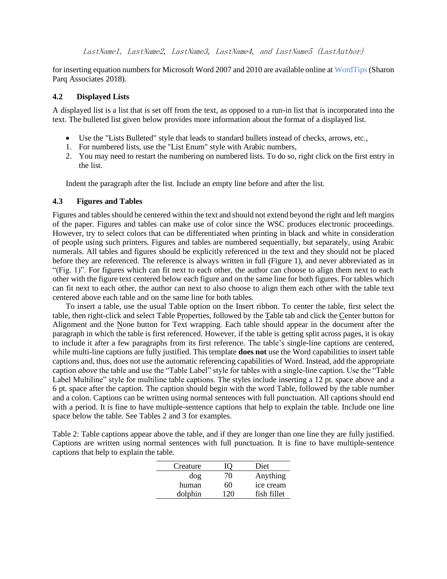for inserting equation numbers for Microsoft Word 2007 and 2010 are available online a[t WordTips](http://word.tips.net/Pages/T000273_Numbering_Equations.html) (Sharon Parq Associates 2018).

### **4.2 Displayed Lists**

A displayed list is a list that is set off from the text, as opposed to a run-in list that is incorporated into the text. The bulleted list given below provides more information about the format of a displayed list.

- Use the "Lists Bulleted" style that leads to standard bullets instead of checks, arrows, etc.,
- 1. For numbered lists, use the "List Enum" style with Arabic numbers,
- 2. You may need to restart the numbering on numbered lists. To do so, right click on the first entry in the list.

Indent the paragraph after the list. Include an empty line before and after the list.

### **4.3 Figures and Tables**

Figures and tables should be centered within the text and should not extend beyond the right and left margins of the paper. Figures and tables can make use of color since the WSC produces electronic proceedings. However, try to select colors that can be differentiated when printing in black and white in consideration of people using such printers. Figures and tables are numbered sequentially, but separately, using Arabic numerals. All tables and figures should be explicitly referenced in the text and they should not be placed before they are referenced. The reference is always written in full (Figure 1), and never abbreviated as in "(Fig. 1)". For figures which can fit next to each other, the author can choose to align them next to each other with the figure text centered below each figure and on the same line for both figures. For tables which can fit next to each other, the author can next to also choose to align them each other with the table text centered above each table and on the same line for both tables.

To insert a table, use the usual Table option on the Insert ribbon. To center the table, first select the table, then right-click and select Table Properties, followed by the Table tab and click the Center button for Alignment and the None button for Text wrapping. Each table should appear in the document after the paragraph in which the table is first referenced. However, if the table is getting split across pages, it is okay to include it after a few paragraphs from its first reference. The table's single-line captions are centered, while multi-line captions are fully justified. This template **does not** use the Word capabilities to insert table captions and, thus, does not use the automatic referencing capabilities of Word. Instead, add the appropriate caption *above* the table and use the "Table Label" style for tables with a single-line caption. Use the "Table Label Multiline" style for multiline table captions. The styles include inserting a 12 pt. space above and a 6 pt. space after the caption. The caption should begin with the word Table, followed by the table number and a colon. Captions can be written using normal sentences with full punctuation. All captions should end with a period. It is fine to have multiple-sentence captions that help to explain the table. Include one line space below the table. See Tables 2 and 3 for examples.

Table 2: Table captions appear above the table, and if they are longer than one line they are fully justified. Captions are written using normal sentences with full punctuation. It is fine to have multiple-sentence captions that help to explain the table.

| Creature | IO) | Diet        |
|----------|-----|-------------|
| dog      | 70  | Anything    |
| human    | 60  | ice cream   |
| dolphin  | 120 | fish fillet |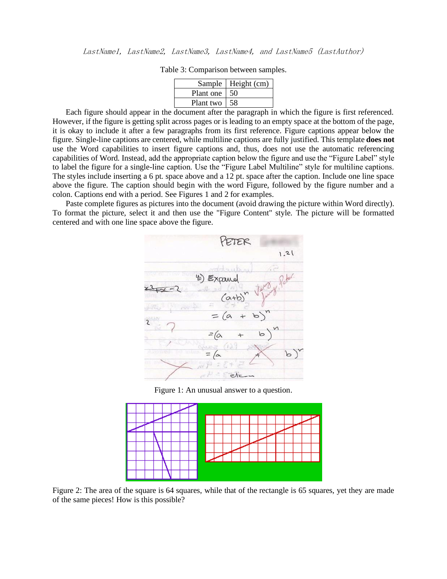|           | Sample   Height (cm) |
|-----------|----------------------|
| Plant one | 50                   |
| Plant two | 58                   |

Table 3: Comparison between samples.

Each figure should appear in the document after the paragraph in which the figure is first referenced. However, if the figure is getting split across pages or is leading to an empty space at the bottom of the page, it is okay to include it after a few paragraphs from its first reference. Figure captions appear below the figure. Single-line captions are centered, while multiline captions are fully justified. This template **does not**  use the Word capabilities to insert figure captions and, thus, does not use the automatic referencing capabilities of Word. Instead, add the appropriate caption below the figure and use the "Figure Label" style to label the figure for a single-line caption. Use the "Figure Label Multiline" style for multiline captions. The styles include inserting a 6 pt. space above and a 12 pt. space after the caption. Include one line space above the figure. The caption should begin with the word Figure, followed by the figure number and a colon. Captions end with a period. See Figures 1 and 2 for examples.

Paste complete figures as pictures into the document (avoid drawing the picture within Word directly). To format the picture, select it and then use the "Figure Content" style. The picture will be formatted centered and with one line space above the figure.



Figure 1: An unusual answer to a question.



Figure 2: The area of the square is 64 squares, while that of the rectangle is 65 squares, yet they are made of the same pieces! How is this possible?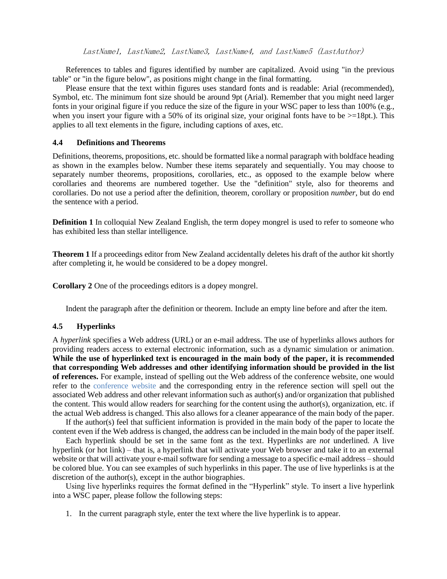References to tables and figures identified by number are capitalized. Avoid using "in the previous table" or "in the figure below", as positions might change in the final formatting.

Please ensure that the text within figures uses standard fonts and is readable: Arial (recommended), Symbol, etc. The minimum font size should be around 9pt (Arial). Remember that you might need larger fonts in your original figure if you reduce the size of the figure in your WSC paper to less than 100% (e.g., when you insert your figure with a 50% of its original size, your original fonts have to be  $>=18pt.$ ). This applies to all text elements in the figure, including captions of axes, etc.

## **4.4 Definitions and Theorems**

Definitions, theorems, propositions, etc. should be formatted like a normal paragraph with boldface heading as shown in the examples below. Number these items separately and sequentially. You may choose to separately number theorems, propositions, corollaries, etc., as opposed to the example below where corollaries and theorems are numbered together. Use the "definition" style, also for theorems and corollaries. Do not use a period after the definition, theorem, corollary or proposition *number*, but do end the sentence with a period.

**Definition 1** In colloquial New Zealand English, the term dopey mongrel is used to refer to someone who has exhibited less than stellar intelligence.

**Theorem 1** If a proceedings editor from New Zealand accidentally deletes his draft of the author kit shortly after completing it, he would be considered to be a dopey mongrel.

**Corollary 2** One of the proceedings editors is a dopey mongrel.

Indent the paragraph after the definition or theorem. Include an empty line before and after the item.

### **4.5 Hyperlinks**

A *hyperlink* specifies a Web address (URL) or an e-mail address. The use of hyperlinks allows authors for providing readers access to external electronic information, such as a dynamic simulation or animation. **While the use of hyperlinked text is encouraged in the main body of the paper, it is recommended that corresponding Web addresses and other identifying information should be provided in the list of references.** For example, instead of spelling out the Web address of the conference website, one would refer to the [conference website](http://www.wintersim.org/) and the corresponding entry in the reference section will spell out the associated Web address and other relevant information such as author(s) and/or organization that published the content. This would allow readers for searching for the content using the author(s), organization, etc. if the actual Web address is changed. This also allows for a cleaner appearance of the main body of the paper.

If the author(s) feel that sufficient information is provided in the main body of the paper to locate the content even if the Web address is changed, the address can be included in the main body of the paper itself.

Each hyperlink should be set in the same font as the text. Hyperlinks are *not* underlined. A live hyperlink (or hot link) – that is, a hyperlink that will activate your Web browser and take it to an external website or that will activate your e-mail software for sending a message to a specific e-mail address – should be colored blue. You can see examples of such hyperlinks in this paper. The use of live hyperlinks is at the discretion of the author(s), except in the author biographies.

Using live hyperlinks requires the format defined in the "Hyperlink" style. To insert a live hyperlink into a WSC paper, please follow the following steps:

1. In the current paragraph style, enter the text where the live hyperlink is to appear.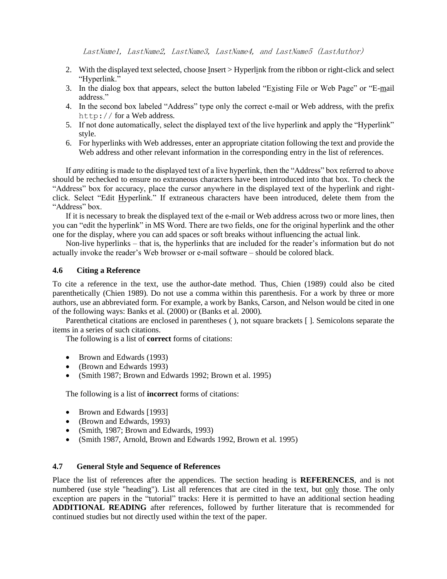- 2. With the displayed text selected, choose Insert > Hyperlink from the ribbon or right-click and select "Hyperlink."
- 3. In the dialog box that appears, select the button labeled "Existing File or Web Page" or "E-mail address."
- 4. In the second box labeled "Address" type only the correct e-mail or Web address, with the prefix http:// for a Web address.
- 5. If not done automatically, select the displayed text of the live hyperlink and apply the "Hyperlink" style.
- 6. For hyperlinks with Web addresses, enter an appropriate citation following the text and provide the Web address and other relevant information in the corresponding entry in the list of references.

If *any* editing is made to the displayed text of a live hyperlink, then the "Address" box referred to above should be rechecked to ensure no extraneous characters have been introduced into that box. To check the "Address" box for accuracy, place the cursor anywhere in the displayed text of the hyperlink and rightclick. Select "Edit Hyperlink." If extraneous characters have been introduced, delete them from the "Address" box.

If it is necessary to break the displayed text of the e-mail or Web address across two or more lines, then you can "edit the hyperlink" in MS Word. There are two fields, one for the original hyperlink and the other one for the display, where you can add spaces or soft breaks without influencing the actual link.

Non-live hyperlinks – that is, the hyperlinks that are included for the reader's information but do not actually invoke the reader's Web browser or e-mail software – should be colored black.

#### **4.6 Citing a Reference**

To cite a reference in the text, use the author-date method. Thus, Chien (1989) could also be cited parenthetically (Chien 1989). Do not use a comma within this parenthesis. For a work by three or more authors, use an abbreviated form. For example, a work by Banks, Carson, and Nelson would be cited in one of the following ways: Banks et al. (2000) or (Banks et al. 2000).

Parenthetical citations are enclosed in parentheses ( ), not square brackets [ ]. Semicolons separate the items in a series of such citations.

The following is a list of **correct** forms of citations:

- Brown and Edwards (1993)
- (Brown and Edwards 1993)
- (Smith 1987; Brown and Edwards 1992; Brown et al. 1995)

The following is a list of **incorrect** forms of citations:

- Brown and Edwards [1993]
- (Brown and Edwards, 1993)
- (Smith, 1987; Brown and Edwards, 1993)
- (Smith 1987, Arnold, Brown and Edwards 1992, Brown et al. 1995)

### **4.7 General Style and Sequence of References**

Place the list of references after the appendices. The section heading is **REFERENCES**, and is not numbered (use style "heading"). List all references that are cited in the text, but only those. The only exception are papers in the "tutorial" tracks: Here it is permitted to have an additional section heading **ADDITIONAL READING** after references, followed by further literature that is recommended for continued studies but not directly used within the text of the paper.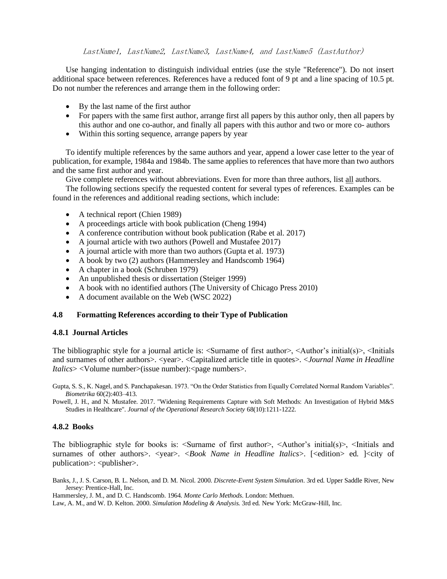Use hanging indentation to distinguish individual entries (use the style "Reference"). Do not insert additional space between references. References have a reduced font of 9 pt and a line spacing of 10.5 pt. Do not number the references and arrange them in the following order:

- By the last name of the first author
- For papers with the same first author, arrange first all papers by this author only, then all papers by this author and one co-author, and finally all papers with this author and two or more co- authors
- Within this sorting sequence, arrange papers by year

To identify multiple references by the same authors and year, append a lower case letter to the year of publication, for example, 1984a and 1984b. The same applies to references that have more than two authors and the same first author and year.

Give complete references without abbreviations. Even for more than three authors, list all authors.

The following sections specify the requested content for several types of references. Examples can be found in the references and additional reading sections, which include:

- A technical report (Chien 1989)
- A proceedings article with book publication (Cheng 1994)
- A conference contribution without book publication (Rabe et al. 2017)
- A journal article with two authors (Powell and Mustafee 2017)
- A journal article with more than two authors (Gupta et al. 1973)
- A book by two (2) authors (Hammersley and Handscomb 1964)
- A chapter in a book (Schruben 1979)
- An unpublished thesis or dissertation (Steiger 1999)
- A book with no identified authors (The University of Chicago Press 2010)
- A document available on the Web (WSC 2022)

### **4.8 Formatting References according to their Type of Publication**

### **4.8.1 Journal Articles**

The bibliographic style for a journal article is:  $\leq$ Surname of first author $\geq$ ,  $\leq$ Author's initial(s) $\geq$ ,  $\leq$ Initials and surnames of other authors>. <year>. <Capitalized article title in quotes>. <*Journal Name in Headline Italics*> <Volume number>(issue number): <page numbers>.

Gupta, S. S., K. Nagel, and S. Panchapakesan. 1973. "On the Order Statistics from Equally Correlated Normal Random Variables". *Biometrika* 60(2):403–413.

Powell, J. H., and N. Mustafee. 2017. "Widening Requirements Capture with Soft Methods: An Investigation of Hybrid M&S Studies in Healthcare". *Journal of the Operational Research Society* 68(10):1211-1222.

# **4.8.2 Books**

The bibliographic style for books is:  $\leq$ Surname of first author $\geq$ ,  $\leq$ Author's initial(s) $\geq$ ,  $\leq$ Initials and surnames of other authors>. <year>. <*Book Name in Headline Italics*>. [<edition> ed. ]<city of publication>: <publisher>.

Banks, J., J. S. Carson, B. L. Nelson, and D. M. Nicol. 2000. *Discrete-Event System Simulation*. 3rd ed. Upper Saddle River, New Jersey: Prentice-Hall, Inc.

Hammersley, J. M., and D. C. Handscomb. 1964. *Monte Carlo Methods*. London: Methuen.

Law, A. M., and W. D. Kelton. 2000. *Simulation Modeling & Analysis.* 3rd ed. New York: McGraw-Hill, Inc.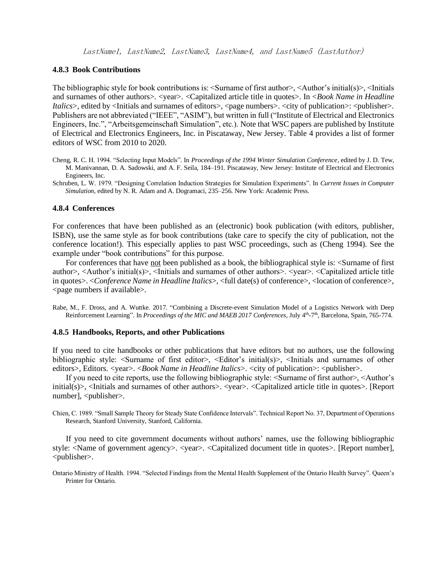### **4.8.3 Book Contributions**

The bibliographic style for book contributions is:  $\leq$ urname of first author $\geq$ ,  $\leq$ Author's initial(s) $\geq$ ,  $\leq$ Initials and surnames of other authors>. <year>. <Capitalized article title in quotes>. In <*Book Name in Headline Italics*>, edited by <Initials and surnames of editors>, <page numbers>. <city of publication>: <publisher>. Publishers are not abbreviated ("IEEE", "ASIM"), but written in full ("Institute of Electrical and Electronics Engineers, Inc.", "Arbeitsgemeinschaft Simulation", etc.). Note that WSC papers are published by Institute of Electrical and Electronics Engineers, Inc. in Piscataway, New Jersey. Table 4 provides a list of former editors of WSC from 2010 to 2020.

- Cheng, R. C. H. 1994. "Selecting Input Models". In *Proceedings of the 1994 Winter Simulation Conference*, edited by J. D. Tew, M. Manivannan, D. A. Sadowski, and A. F. Seila, 184–191. Piscataway, New Jersey: Institute of Electrical and Electronics Engineers, Inc.
- Schruben, L. W. 1979. "Designing Correlation Induction Strategies for Simulation Experiments". In *Current Issues in Computer Simulation*, edited by N. R. Adam and A. Dogramaci, 235–256. New York: Academic Press.

#### **4.8.4 Conferences**

For conferences that have been published as an (electronic) book publication (with editors, publisher, ISBN), use the same style as for book contributions (take care to specify the city of publication, not the conference location!). This especially applies to past WSC proceedings, such as (Cheng 1994). See the example under "book contributions" for this purpose.

For conferences that have not been published as a book, the bibliographical style is: <Surname of first author>, <Author's initial(s)>, <Initials and surnames of other authors>. <year>. <Capitalized article title in quotes>. <*Conference Name in Headline Italics*>, <full date(s) of conference>, <location of conference>, <page numbers if available>.

Rabe, M., F. Dross, and A. Wuttke. 2017. "Combining a Discrete-event Simulation Model of a Logistics Network with Deep Reinforcement Learning". In *Proceedings of the MIC and MAEB 2017 Conferences*, July 4<sup>th</sup>-7<sup>th</sup>, Barcelona, Spain, 765-774.

#### **4.8.5 Handbooks, Reports, and other Publications**

If you need to cite handbooks or other publications that have editors but no authors, use the following bibliographic style:  $\leq$ Surname of first editor $\geq$ ,  $\leq$ Editor's initial(s) $\geq$ ,  $\leq$ Initials and surnames of other editors>, Editors. <year>. <*Book Name in Headline Italics*>. <city of publication>: <*publisher>*.

If you need to cite reports, use the following bibliographic style: <Surname of first author>, <Author's initial(s)>, <Initials and surnames of other authors>. <year>. <Capitalized article title in quotes>. [Report] number], <publisher>.

Chien, C. 1989. "Small Sample Theory for Steady State Confidence Intervals". Technical Report No. 37, Department of Operations Research, Stanford University, Stanford, California.

If you need to cite government documents without authors' names, use the following bibliographic style: <Name of government agency>. <year>. <Capitalized document title in quotes>. [Report number], <publisher>.

Ontario Ministry of Health. 1994. "Selected Findings from the Mental Health Supplement of the Ontario Health Survey". Queen's Printer for Ontario.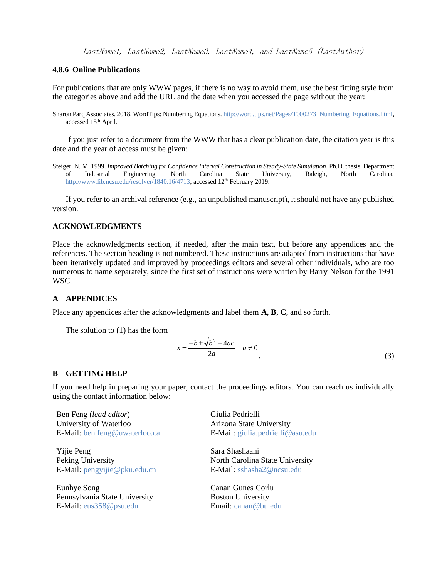### **4.8.6 Online Publications**

For publications that are only WWW pages, if there is no way to avoid them, use the best fitting style from the categories above and add the URL and the date when you accessed the page without the year:

Sharon Parq Associates. 2018. WordTips: Numbering Equations[. http://word.tips.net/Pages/T000273\\_Numbering\\_Equations.html,](http://word.tips.net/Pages/T000273_Numbering_Equations.html) accessed 15<sup>th</sup> April.

If you just refer to a document from the WWW that has a clear publication date, the citation year is this date and the year of access must be given:

Steiger, N. M. 1999. *Improved Batching for Confidence Interval Construction in Steady-State Simulation*. Ph.D. thesis, Department of Industrial Engineering, North Carolina State University, Raleigh, North Carolina. [http://www.lib.ncsu.edu/resolver/1840.16/4713,](http://www.lib.ncsu.edu/resolver/1840.16/4713) accessed 12<sup>th</sup> February 2019.

If you refer to an archival reference (e.g., an unpublished manuscript), it should not have any published version.

# **ACKNOWLEDGMENTS**

Place the acknowledgments section, if needed, after the main text, but before any appendices and the references. The section heading is not numbered. These instructions are adapted from instructions that have been iteratively updated and improved by proceedings editors and several other individuals, who are too numerous to name separately, since the first set of instructions were written by Barry Nelson for the 1991 WSC.

### **A APPENDICES**

Place any appendices after the acknowledgments and label them **A**, **B**, **C**, and so forth.

The solution to (1) has the form

$$
x = \frac{-b \pm \sqrt{b^2 - 4ac}}{2a} \quad a \neq 0
$$
\n<sup>(3)</sup>

### **B GETTING HELP**

If you need help in preparing your paper, contact the proceedings editors. You can reach us individually using the contact information below:

Ben Feng (*lead editor*) University of Waterloo E-Mail: [ben.feng@uwaterloo.ca](mailto:ben.feng@uwaterloo.ca)

Yijie Peng Peking University E-Mail: [pengyijie@pku.edu.cn](mailto:pengyijie@pku.edu.cn)

Eunhye Song Pennsylvania State University E-Mail: [eus358@psu.edu](mailto:eus358@psu.edu)

Giulia Pedrielli Arizona State University E-Mail: [giulia.pedrielli@asu.edu](mailto:giulia.pedrielli@asu.edu)

Sara Shashaani North Carolina State University E-Mail: [sshasha2@ncsu.edu](mailto:sshasha2@ncsu.edu)

Canan Gunes Corlu Boston University Email: [canan@bu.edu](mailto:canan@bu.edu)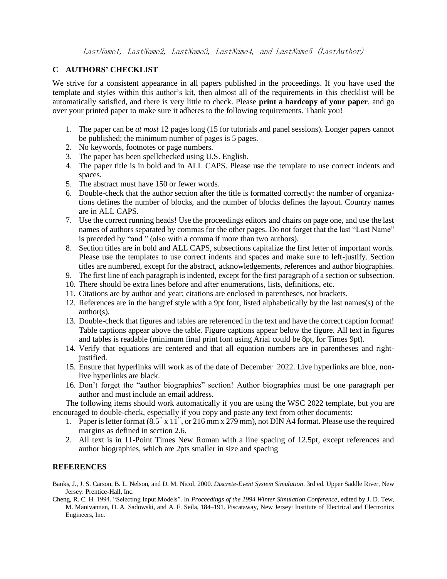# **C AUTHORS' CHECKLIST**

We strive for a consistent appearance in all papers published in the proceedings. If you have used the template and styles within this author's kit, then almost all of the requirements in this checklist will be automatically satisfied, and there is very little to check. Please **print a hardcopy of your paper**, and go over your printed paper to make sure it adheres to the following requirements. Thank you!

- 1. The paper can be *at most* 12 pages long (15 for tutorials and panel sessions). Longer papers cannot be published; the minimum number of pages is 5 pages.
- 2. No keywords, footnotes or page numbers.
- 3. The paper has been spellchecked using U.S. English.
- 4. The paper title is in bold and in ALL CAPS. Please use the template to use correct indents and spaces.
- 5. The abstract must have 150 or fewer words.
- 6. Double-check that the author section after the title is formatted correctly: the number of organizations defines the number of blocks, and the number of blocks defines the layout. Country names are in ALL CAPS.
- 7. Use the correct running heads! Use the proceedings editors and chairs on page one, and use the last names of authors separated by commas for the other pages. Do not forget that the last "Last Name" is preceded by "and " (also with a comma if more than two authors).
- 8. Section titles are in bold and ALL CAPS, subsections capitalize the first letter of important words. Please use the templates to use correct indents and spaces and make sure to left-justify. Section titles are numbered, except for the abstract, acknowledgements, references and author biographies.
- 9. The first line of each paragraph is indented, except for the first paragraph of a section or subsection.
- 10. There should be extra lines before and after enumerations, lists, definitions, etc.
- 11. Citations are by author and year; citations are enclosed in parentheses, not brackets.
- 12. References are in the hangref style with a 9pt font, listed alphabetically by the last names(s) of the author(s),
- 13. Double-check that figures and tables are referenced in the text and have the correct caption format! Table captions appear above the table. Figure captions appear below the figure. All text in figures and tables is readable (minimum final print font using Arial could be 8pt, for Times 9pt).
- 14. Verify that equations are centered and that all equation numbers are in parentheses and rightjustified.
- 15. Ensure that hyperlinks will work as of the date of December 2022. Live hyperlinks are blue, nonlive hyperlinks are black.
- 16. Don't forget the "author biographies" section! Author biographies must be one paragraph per author and must include an email address.

The following items should work automatically if you are using the WSC 2022 template, but you are encouraged to double-check, especially if you copy and paste any text from other documents:

- 1. Paper is letter format  $(8.5^{\degree} \times 11^{\degree}$ , or 216 mm x 279 mm), not DIN A4 format. Please use the required margins as defined in section 2.6.
- 2. All text is in 11-Point Times New Roman with a line spacing of 12.5pt, except references and author biographies, which are 2pts smaller in size and spacing

# **REFERENCES**

- Banks, J., J. S. Carson, B. L. Nelson, and D. M. Nicol. 2000. *Discrete-Event System Simulation*. 3rd ed. Upper Saddle River, New Jersey: Prentice-Hall, Inc.
- Cheng, R. C. H. 1994. "Selecting Input Models". In *Proceedings of the 1994 Winter Simulation Conference*, edited by J. D. Tew, M. Manivannan, D. A. Sadowski, and A. F. Seila, 184–191. Piscataway, New Jersey: Institute of Electrical and Electronics Engineers, Inc.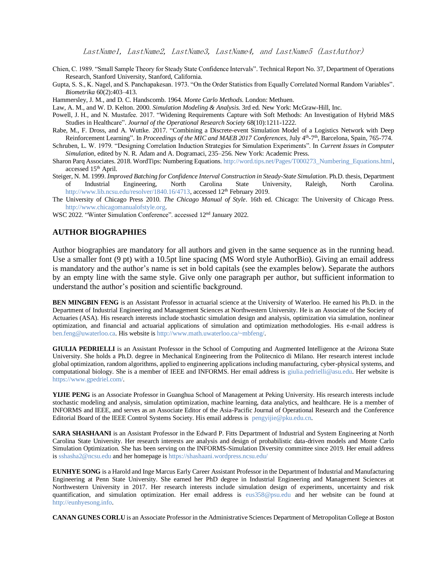- Chien, C. 1989. "Small Sample Theory for Steady State Confidence Intervals". Technical Report No. 37, Department of Operations Research, Stanford University, Stanford, California.
- Gupta, S. S., K. Nagel, and S. Panchapakesan. 1973. "On the Order Statistics from Equally Correlated Normal Random Variables". *Biometrika* 60(2):403–413.

Hammersley, J. M., and D. C. Handscomb. 1964. *Monte Carlo Methods*. London: Methuen.

- Law, A. M., and W. D. Kelton. 2000. *Simulation Modeling & Analysis.* 3rd ed. New York: McGraw-Hill, Inc.
- Powell, J. H., and N. Mustafee. 2017. "Widening Requirements Capture with Soft Methods: An Investigation of Hybrid M&S Studies in Healthcare". *Journal of the Operational Research Society* 68(10):1211-1222.
- Rabe, M., F. Dross, and A. Wuttke. 2017. "Combining a Discrete-event Simulation Model of a Logistics Network with Deep Reinforcement Learning". In *Proceedings of the MIC and MAEB 2017 Conferences*, July 4<sup>th</sup>-7<sup>th</sup>, Barcelona, Spain, 765-774.
- Schruben, L. W. 1979. "Designing Correlation Induction Strategies for Simulation Experiments". In *Current Issues in Computer Simulation*, edited by N. R. Adam and A. Dogramaci, 235–256. New York: Academic Press.
- Sharon Parq Associates. 2018. WordTips: Numbering Equations[. http://word.tips.net/Pages/T000273\\_Numbering\\_Equations.html,](http://word.tips.net/Pages/T000273_Numbering_Equations.html) accessed 15<sup>th</sup> April.
- Steiger, N. M. 1999. *Improved Batching for Confidence Interval Construction in Steady-State Simulation*. Ph.D. thesis, Department of Industrial Engineering, North Carolina State University, Raleigh, North Carolina. [http://www.lib.ncsu.edu/resolver/1840.16/4713,](http://www.lib.ncsu.edu/resolver/1840.16/4713) accessed 12<sup>th</sup> February 2019.
- The University of Chicago Press 2010. *The Chicago Manual of Style*. 16th ed. Chicago: The University of Chicago Press. [http://www.chicagomanualofstyle.org.](http://www.chicagomanualofstyle.org/)
- WSC 2022. "Winter Simulation Conference". accessed 12<sup>nd</sup> January 2022.

### **AUTHOR BIOGRAPHIES**

Author biographies are mandatory for all authors and given in the same sequence as in the running head. Use a smaller font (9 pt) with a 10.5pt line spacing (MS Word style AuthorBio). Giving an email address is mandatory and the author's name is set in bold capitals (see the examples below). Separate the authors by an empty line with the same style. Give only one paragraph per author, but sufficient information to understand the author's position and scientific background.

**BEN MINGBIN FENG** is an Assistant Professor in actuarial science at the University of Waterloo. He earned his Ph.D. in the Department of Industrial Engineering and Management Sciences at Northwestern University. He is an Associate of the Society of Actuaries (ASA). His research interests include stochastic simulation design and analysis, optimization via simulation, nonlinear optimization, and financial and actuarial applications of simulation and optimization methodologies. His e-mail address is [ben.feng@uwaterloo.ca.](mailto:ben.feng@uwaterloo.ca) His website is [http://www.math.uwaterloo.ca/~mbfeng/.](http://www.math.uwaterloo.ca/~mbfeng/)

**GIULIA PEDRIELLI** is an Assistant Professor in the School of Computing and Augmented Intelligence at the Arizona State University. She holds a Ph.D. degree in Mechanical Engineering from the Politecnico di Milano. Her research interest include global optimization, random algorithms, applied to engineering applications including manufacturing, cyber-physical systems, and computational biology. She is a member of IEEE and INFORMS. Her email address is [giulia.pedrielli@asu.edu.](mailto:giulia.pedrielli@asu.edu) Her website is [https://www.gpedriel.com/.](https://www.gpedriel.com/)

**YIJIE PENG** is an Associate Professor in Guanghua School of Management at Peking University. His research interests include stochastic modeling and analysis, simulation optimization, machine learning, data analytics, and healthcare. He is a member of INFORMS and IEEE, and serves as an Associate Editor of the Asia-Pacific Journal of Operational Research and the Conference Editorial Board of the IEEE Control Systems Society. His email address is [pengyijie@pku.edu.cn.](mailto:pengyijie@pku.edu.cn)

**SARA SHASHAANI** is an Assistant Professor in the Edward P. Fitts Department of Industrial and System Engineering at North Carolina State University. Her research interests are analysis and design of probabilistic data-driven models and Monte Carlo Simulation Optimization. She has been serving on the INFORMS-Simulation Diversity committee since 2019. Her email address i[s sshasha2@ncsu.edu](mailto:sshasha2@ncsu.edu) and her homepage is<https://shashaani.wordpress.ncsu.edu/>

**EUNHYE SONG** is a Harold and Inge Marcus Early Career Assistant Professor in the Department of Industrial and Manufacturing Engineering at Penn State University. She earned her PhD degree in Industrial Engineering and Management Sciences at Northwestern University in 2017. Her research interests include simulation design of experiments, uncertainty and risk quantification, and simulation optimization. Her email address is [eus358@psu.edu](mailto:eus358@psu.edu) and her website can be found at [http://eunhyesong.info.](http://eunhyesong.info/)

**CANAN GUNES CORLU** is an Associate Professor in the Administrative Sciences Department of Metropolitan College at Boston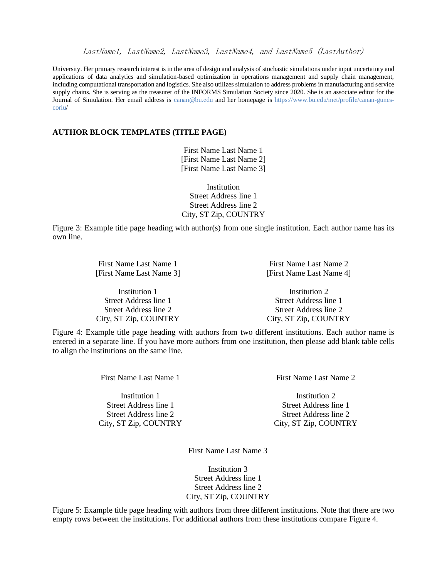University. Her primary research interest is in the area of design and analysis of stochastic simulations under input uncertainty and applications of data analytics and simulation-based optimization in operations management and supply chain management, including computational transportation and logistics. She also utilizes simulation to address problems in manufacturing and service supply chains. She is serving as the treasurer of the INFORMS Simulation Society since 2020. She is an associate editor for the Journal of Simulation. Her email address is [canan@bu.edu](mailto:canan@bu.edu) and her homepage is [https://www.bu.edu/met/profile/canan-gunes](https://www.bu.edu/met/profile/canan-gunes-corlu)[corlu/](https://www.bu.edu/met/profile/canan-gunes-corlu)

### **AUTHOR BLOCK TEMPLATES (TITLE PAGE)**

First Name Last Name 1 [First Name Last Name 2] [First Name Last Name 3]

Institution Street Address line 1 Street Address line 2 City, ST Zip, COUNTRY

Figure 3: Example title page heading with author(s) from one single institution. Each author name has its own line.

| First Name Last Name 1   | First Name Last Name 2   |  |
|--------------------------|--------------------------|--|
| [First Name Last Name 3] | [First Name Last Name 4] |  |
| Institution 1            | Institution 2            |  |
| Street Address line 1    | Street Address line 1    |  |
| Street Address line 2    | Street Address line 2    |  |
| City, ST Zip, COUNTRY    | City, ST Zip, COUNTRY    |  |

Figure 4: Example title page heading with authors from two different institutions. Each author name is entered in a separate line. If you have more authors from one institution, then please add blank table cells to align the institutions on the same line.

Street Address line 1 Street Address line 1 Street Address line 2 Street Address line 2 City, ST Zip, COUNTRY City, ST Zip, COUNTRY

First Name Last Name 1 First Name Last Name 2

Institution 1 and 1 Institution 2

First Name Last Name 3

Institution 3 Street Address line 1 Street Address line 2 City, ST Zip, COUNTRY

Figure 5: Example title page heading with authors from three different institutions. Note that there are two empty rows between the institutions. For additional authors from these institutions compare Figure 4.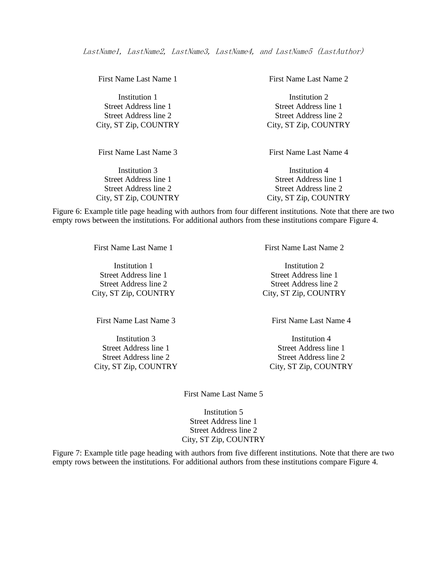| First Name Last Name 1 | First Name Last Name 2 |
|------------------------|------------------------|
| Institution 1          | Institution 2          |
| Street Address line 1  | Street Address line 1  |
| Street Address line 2  | Street Address line 2  |
| City, ST Zip, COUNTRY  | City, ST Zip, COUNTRY  |
| First Name Last Name 3 | First Name Last Name 4 |

City, ST Zip, COUNTRY City, ST Zip, COUNTRY

Institution 3 Institution 4 Street Address line 1 Street Address line 1 Street Address line 2 Street Address line 2

Figure 6: Example title page heading with authors from four different institutions. Note that there are two empty rows between the institutions. For additional authors from these institutions compare Figure 4.

Institution 1 Institution 2 Street Address line 1 Street Address line 1 City, ST Zip, COUNTRY City, ST Zip, COUNTRY

Street Address line 1 Street Address line 1 Street Address line 2 Street Address line 2 City, ST Zip, COUNTRY City, ST Zip, COUNTRY

First Name Last Name 1 First Name Last Name 2

Street Address line 2 Street Address line 2

First Name Last Name 3 First Name Last Name 4

Institution 3 Institution 4

First Name Last Name 5

Institution 5 Street Address line 1 Street Address line 2 City, ST Zip, COUNTRY

Figure 7: Example title page heading with authors from five different institutions. Note that there are two empty rows between the institutions. For additional authors from these institutions compare Figure 4.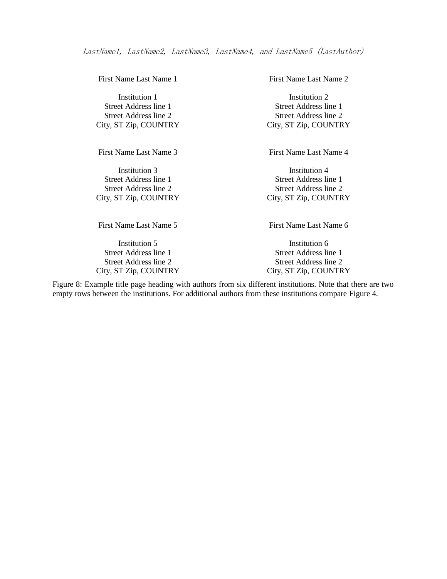First Name Last Name 3 First Name Last Name 4

City, ST Zip, COUNTRY City, ST Zip, COUNTRY

Institution 5 Institution 6 Street Address line 1 Street Address line 1 Street Address line 2 Street Address line 2 City, ST Zip, COUNTRY City, ST Zip, COUNTRY

First Name Last Name 1 First Name Last Name 2

Institution 1 Institution 2 Street Address line 1 Street Address line 1 Street Address line 2 Street Address line 2 City, ST Zip, COUNTRY City, ST Zip, COUNTRY

Institution 3 Institution 4 Street Address line 1 Street Address line 1 Street Address line 2 Street Address line 2

First Name Last Name 5 First Name Last Name 6

Figure 8: Example title page heading with authors from six different institutions. Note that there are two empty rows between the institutions. For additional authors from these institutions compare Figure 4.